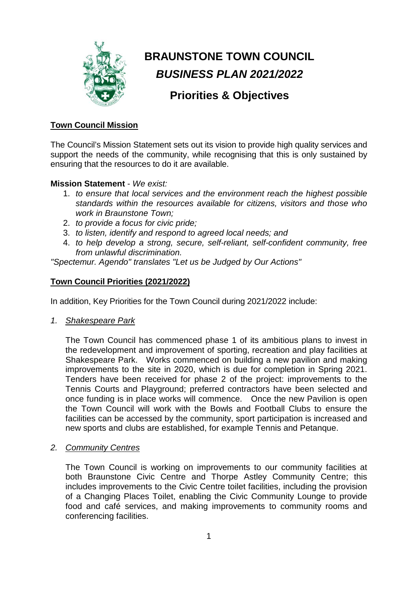

# **BRAUNSTONE TOWN COUNCIL** *BUSINESS PLAN 2021/2022*

## **Priorities & Objectives**

### **Town Council Mission**

The Council's Mission Statement sets out its vision to provide high quality services and support the needs of the community, while recognising that this is only sustained by ensuring that the resources to do it are available.

#### **Mission Statement** - *We exist:*

- 1. *to ensure that local services and the environment reach the highest possible standards within the resources available for citizens, visitors and those who work in Braunstone Town;*
- 2. *to provide a focus for civic pride;*
- 3. *to listen, identify and respond to agreed local needs; and*
- 4. *to help develop a strong, secure, self-reliant, self-confident community, free from unlawful discrimination.*

*"Spectemur. Agendo" translates "Let us be Judged by Our Actions"*

## **Town Council Priorities (2021/2022)**

In addition, Key Priorities for the Town Council during 2021/2022 include:

*1. Shakespeare Park*

The Town Council has commenced phase 1 of its ambitious plans to invest in the redevelopment and improvement of sporting, recreation and play facilities at Shakespeare Park. Works commenced on building a new pavilion and making improvements to the site in 2020, which is due for completion in Spring 2021. Tenders have been received for phase 2 of the project: improvements to the Tennis Courts and Playground; preferred contractors have been selected and once funding is in place works will commence. Once the new Pavilion is open the Town Council will work with the Bowls and Football Clubs to ensure the facilities can be accessed by the community, sport participation is increased and new sports and clubs are established, for example Tennis and Petanque.

*2. Community Centres*

The Town Council is working on improvements to our community facilities at both Braunstone Civic Centre and Thorpe Astley Community Centre; this includes improvements to the Civic Centre toilet facilities, including the provision of a Changing Places Toilet, enabling the Civic Community Lounge to provide food and café services, and making improvements to community rooms and conferencing facilities.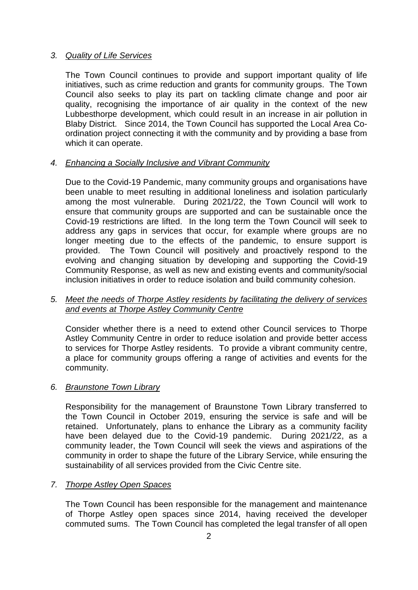#### *3. Quality of Life Services*

The Town Council continues to provide and support important quality of life initiatives, such as crime reduction and grants for community groups. The Town Council also seeks to play its part on tackling climate change and poor air quality, recognising the importance of air quality in the context of the new Lubbesthorpe development, which could result in an increase in air pollution in Blaby District. Since 2014, the Town Council has supported the Local Area Coordination project connecting it with the community and by providing a base from which it can operate.

#### *4. Enhancing a Socially Inclusive and Vibrant Community*

Due to the Covid-19 Pandemic, many community groups and organisations have been unable to meet resulting in additional loneliness and isolation particularly among the most vulnerable. During 2021/22, the Town Council will work to ensure that community groups are supported and can be sustainable once the Covid-19 restrictions are lifted. In the long term the Town Council will seek to address any gaps in services that occur, for example where groups are no longer meeting due to the effects of the pandemic, to ensure support is provided. The Town Council will positively and proactively respond to the evolving and changing situation by developing and supporting the Covid-19 Community Response, as well as new and existing events and community/social inclusion initiatives in order to reduce isolation and build community cohesion.

#### *5. Meet the needs of Thorpe Astley residents by facilitating the delivery of services and events at Thorpe Astley Community Centre*

Consider whether there is a need to extend other Council services to Thorpe Astley Community Centre in order to reduce isolation and provide better access to services for Thorpe Astley residents. To provide a vibrant community centre, a place for community groups offering a range of activities and events for the community.

#### *6. Braunstone Town Library*

Responsibility for the management of Braunstone Town Library transferred to the Town Council in October 2019, ensuring the service is safe and will be retained. Unfortunately, plans to enhance the Library as a community facility have been delayed due to the Covid-19 pandemic. During 2021/22, as a community leader, the Town Council will seek the views and aspirations of the community in order to shape the future of the Library Service, while ensuring the sustainability of all services provided from the Civic Centre site.

#### *7. Thorpe Astley Open Spaces*

The Town Council has been responsible for the management and maintenance of Thorpe Astley open spaces since 2014, having received the developer commuted sums. The Town Council has completed the legal transfer of all open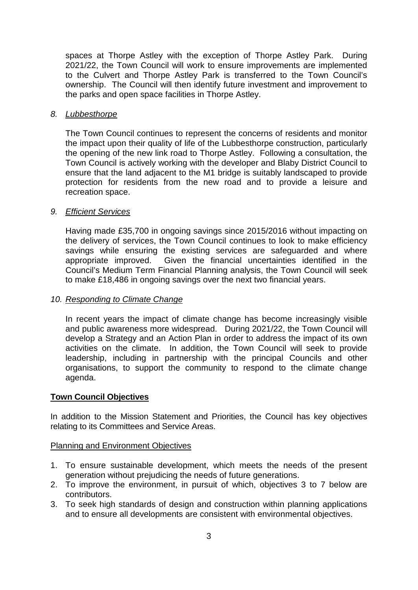spaces at Thorpe Astley with the exception of Thorpe Astley Park. During 2021/22, the Town Council will work to ensure improvements are implemented to the Culvert and Thorpe Astley Park is transferred to the Town Council's ownership. The Council will then identify future investment and improvement to the parks and open space facilities in Thorpe Astley.

#### *8. Lubbesthorpe*

The Town Council continues to represent the concerns of residents and monitor the impact upon their quality of life of the Lubbesthorpe construction, particularly the opening of the new link road to Thorpe Astley. Following a consultation, the Town Council is actively working with the developer and Blaby District Council to ensure that the land adjacent to the M1 bridge is suitably landscaped to provide protection for residents from the new road and to provide a leisure and recreation space.

#### *9. Efficient Services*

Having made £35,700 in ongoing savings since 2015/2016 without impacting on the delivery of services, the Town Council continues to look to make efficiency savings while ensuring the existing services are safeguarded and where appropriate improved. Given the financial uncertainties identified in the Council's Medium Term Financial Planning analysis, the Town Council will seek to make £18,486 in ongoing savings over the next two financial years.

#### *10. Responding to Climate Change*

In recent years the impact of climate change has become increasingly visible and public awareness more widespread. During 2021/22, the Town Council will develop a Strategy and an Action Plan in order to address the impact of its own activities on the climate. In addition, the Town Council will seek to provide leadership, including in partnership with the principal Councils and other organisations, to support the community to respond to the climate change agenda.

#### **Town Council Objectives**

In addition to the Mission Statement and Priorities, the Council has key objectives relating to its Committees and Service Areas.

#### Planning and Environment Objectives

- 1. To ensure sustainable development, which meets the needs of the present generation without prejudicing the needs of future generations.
- 2. To improve the environment, in pursuit of which, objectives 3 to 7 below are contributors.
- 3. To seek high standards of design and construction within planning applications and to ensure all developments are consistent with environmental objectives.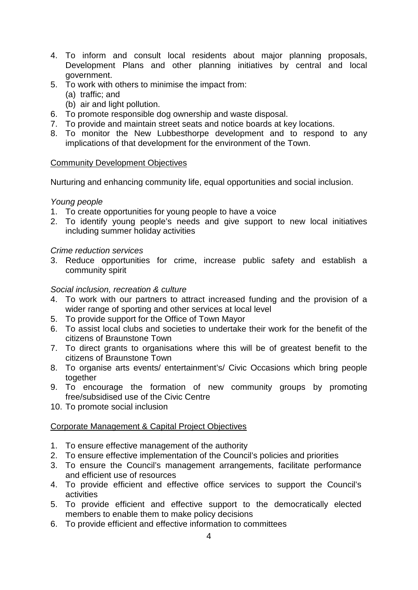- 4. To inform and consult local residents about major planning proposals, Development Plans and other planning initiatives by central and local government.
- 5. To work with others to minimise the impact from:
	- (a) traffic; and
	- (b) air and light pollution.
- 6. To promote responsible dog ownership and waste disposal.
- 7. To provide and maintain street seats and notice boards at key locations.
- 8. To monitor the New Lubbesthorpe development and to respond to any implications of that development for the environment of the Town.

#### Community Development Objectives

Nurturing and enhancing community life, equal opportunities and social inclusion.

#### *Young people*

- 1. To create opportunities for young people to have a voice
- 2. To identify young people's needs and give support to new local initiatives including summer holiday activities

#### *Crime reduction services*

3. Reduce opportunities for crime, increase public safety and establish a community spirit

#### *Social inclusion, recreation & culture*

- 4. To work with our partners to attract increased funding and the provision of a wider range of sporting and other services at local level
- 5. To provide support for the Office of Town Mayor
- 6. To assist local clubs and societies to undertake their work for the benefit of the citizens of Braunstone Town
- 7. To direct grants to organisations where this will be of greatest benefit to the citizens of Braunstone Town
- 8. To organise arts events/ entertainment's/ Civic Occasions which bring people together
- 9. To encourage the formation of new community groups by promoting free/subsidised use of the Civic Centre
- 10. To promote social inclusion

#### Corporate Management & Capital Project Objectives

- 1. To ensure effective management of the authority
- 2. To ensure effective implementation of the Council's policies and priorities
- 3. To ensure the Council's management arrangements, facilitate performance and efficient use of resources
- 4. To provide efficient and effective office services to support the Council's activities
- 5. To provide efficient and effective support to the democratically elected members to enable them to make policy decisions
- 6. To provide efficient and effective information to committees